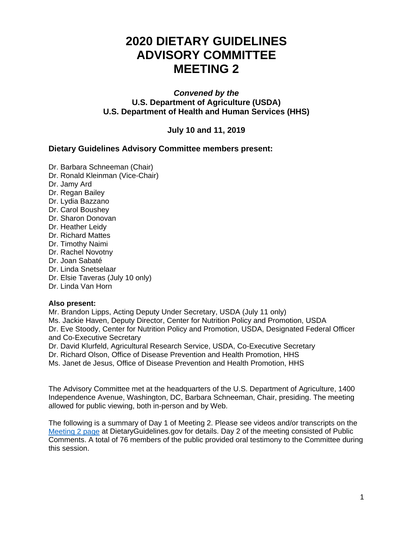# **2020 DIETARY GUIDELINES ADVISORY COMMITTEE MEETING 2**

#### *Convened by the* **U.S. Department of Agriculture (USDA) U.S. Department of Health and Human Services (HHS)**

**July 10 and 11, 2019**

#### **Dietary Guidelines Advisory Committee members present:**

- Dr. Barbara Schneeman (Chair)
- Dr. Ronald Kleinman (Vice-Chair)
- Dr. Jamy Ard
- Dr. Regan Bailey
- Dr. Lydia Bazzano
- Dr. Carol Boushey
- Dr. Sharon Donovan
- Dr. Heather Leidy
- Dr. Richard Mattes
- Dr. Timothy Naimi
- Dr. Rachel Novotny
- Dr. Joan Sabaté
- Dr. Linda Snetselaar
- Dr. Elsie Taveras (July 10 only)
- Dr. Linda Van Horn

#### **Also present:**

Mr. Brandon Lipps, Acting Deputy Under Secretary, USDA (July 11 only) Ms. Jackie Haven, Deputy Director, Center for Nutrition Policy and Promotion, USDA Dr. Eve Stoody, Center for Nutrition Policy and Promotion, USDA, Designated Federal Officer and Co-Executive Secretary

Dr. David Klurfeld, Agricultural Research Service, USDA, Co-Executive Secretary Dr. Richard Olson, Office of Disease Prevention and Health Promotion, HHS Ms. Janet de Jesus, Office of Disease Prevention and Health Promotion, HHS

The Advisory Committee met at the headquarters of the U.S. Department of Agriculture, 1400 Independence Avenue, Washington, DC, Barbara Schneeman, Chair, presiding. The meeting allowed for public viewing, both in-person and by Web.

The following is a summary of Day 1 of Meeting 2. Please see videos and/or transcripts on the [Meeting 2 page](https://www.dietaryguidelines.gov/work-under-way/review-science/public-meetings/meeting-2) at DietaryGuidelines.gov for details. Day 2 of the meeting consisted of Public Comments. A total of 76 members of the public provided oral testimony to the Committee during this session.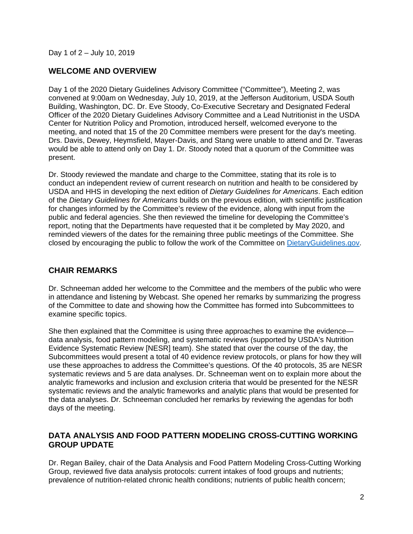Day 1 of 2 – July 10, 2019

#### **WELCOME AND OVERVIEW**

Day 1 of the 2020 Dietary Guidelines Advisory Committee ("Committee"), Meeting 2, was convened at 9:00am on Wednesday, July 10, 2019, at the Jefferson Auditorium, USDA South Building, Washington, DC. Dr. Eve Stoody, Co-Executive Secretary and Designated Federal Officer of the 2020 Dietary Guidelines Advisory Committee and a Lead Nutritionist in the USDA Center for Nutrition Policy and Promotion, introduced herself, welcomed everyone to the meeting, and noted that 15 of the 20 Committee members were present for the day's meeting. Drs. Davis, Dewey, Heymsfield, Mayer-Davis, and Stang were unable to attend and Dr. Taveras would be able to attend only on Day 1. Dr. Stoody noted that a quorum of the Committee was present.

Dr. Stoody reviewed the mandate and charge to the Committee, stating that its role is to conduct an independent review of current research on nutrition and health to be considered by USDA and HHS in developing the next edition of *Dietary Guidelines for Americans*. Each edition of the *Dietary Guidelines for Americans* builds on the previous edition, with scientific justification for changes informed by the Committee's review of the evidence, along with input from the public and federal agencies. She then reviewed the timeline for developing the Committee's report, noting that the Departments have requested that it be completed by May 2020, and reminded viewers of the dates for the remaining three public meetings of the Committee. She closed by encouraging the public to follow the work of the Committee on [DietaryGuidelines.gov.](https://www.dietaryguidelines.gov/)

#### **CHAIR REMARKS**

Dr. Schneeman added her welcome to the Committee and the members of the public who were in attendance and listening by Webcast. She opened her remarks by summarizing the progress of the Committee to date and showing how the Committee has formed into Subcommittees to examine specific topics.

She then explained that the Committee is using three approaches to examine the evidence data analysis, food pattern modeling, and systematic reviews (supported by USDA's Nutrition Evidence Systematic Review [NESR] team). She stated that over the course of the day, the Subcommittees would present a total of 40 evidence review protocols, or plans for how they will use these approaches to address the Committee's questions. Of the 40 protocols, 35 are NESR systematic reviews and 5 are data analyses. Dr. Schneeman went on to explain more about the analytic frameworks and inclusion and exclusion criteria that would be presented for the NESR systematic reviews and the analytic frameworks and analytic plans that would be presented for the data analyses. Dr. Schneeman concluded her remarks by reviewing the agendas for both days of the meeting.

#### **DATA ANALYSIS AND FOOD PATTERN MODELING CROSS-CUTTING WORKING GROUP UPDATE**

Dr. Regan Bailey, chair of the Data Analysis and Food Pattern Modeling Cross-Cutting Working Group, reviewed five data analysis protocols: current intakes of food groups and nutrients; prevalence of nutrition-related chronic health conditions; nutrients of public health concern;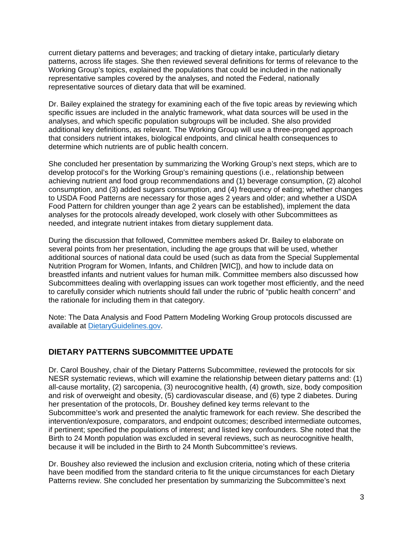current dietary patterns and beverages; and tracking of dietary intake, particularly dietary patterns, across life stages. She then reviewed several definitions for terms of relevance to the Working Group's topics, explained the populations that could be included in the nationally representative samples covered by the analyses, and noted the Federal, nationally representative sources of dietary data that will be examined.

Dr. Bailey explained the strategy for examining each of the five topic areas by reviewing which specific issues are included in the analytic framework, what data sources will be used in the analyses, and which specific population subgroups will be included. She also provided additional key definitions, as relevant. The Working Group will use a three-pronged approach that considers nutrient intakes, biological endpoints, and clinical health consequences to determine which nutrients are of public health concern.

She concluded her presentation by summarizing the Working Group's next steps, which are to develop protocol's for the Working Group's remaining questions (i.e., relationship between achieving nutrient and food group recommendations and (1) beverage consumption, (2) alcohol consumption, and (3) added sugars consumption, and (4) frequency of eating; whether changes to USDA Food Patterns are necessary for those ages 2 years and older; and whether a USDA Food Pattern for children younger than age 2 years can be established), implement the data analyses for the protocols already developed, work closely with other Subcommittees as needed, and integrate nutrient intakes from dietary supplement data.

During the discussion that followed, Committee members asked Dr. Bailey to elaborate on several points from her presentation, including the age groups that will be used, whether additional sources of national data could be used (such as data from the Special Supplemental Nutrition Program for Women, Infants, and Children [WIC]), and how to include data on breastfed infants and nutrient values for human milk. Committee members also discussed how Subcommittees dealing with overlapping issues can work together most efficiently, and the need to carefully consider which nutrients should fall under the rubric of "public health concern" and the rationale for including them in that category.

Note: The Data Analysis and Food Pattern Modeling Working Group protocols discussed are available at [DietaryGuidelines.gov.](https://gcc02.safelinks.protection.outlook.com/?url=https%3A%2F%2Fwww.dietaryguidelines.gov%2F&data=02%7C01%7C%7C4ef81843053e41ede96c08d71c0fb492%7Ced5b36e701ee4ebc867ee03cfa0d4697%7C0%7C0%7C637008726085710622&sdata=T%2BjhM11f1zUUz%2FCifwmbsgq7HDQFMQZ07pWMyiMcpdo%3D&reserved=0)

#### **DIETARY PATTERNS SUBCOMMITTEE UPDATE**

Dr. Carol Boushey, chair of the Dietary Patterns Subcommittee, reviewed the protocols for six NESR systematic reviews, which will examine the relationship between dietary patterns and: (1) all-cause mortality, (2) sarcopenia, (3) neurocognitive health, (4) growth, size, body composition and risk of overweight and obesity, (5) cardiovascular disease, and (6) type 2 diabetes. During her presentation of the protocols, Dr. Boushey defined key terms relevant to the Subcommittee's work and presented the analytic framework for each review. She described the intervention/exposure, comparators, and endpoint outcomes; described intermediate outcomes, if pertinent; specified the populations of interest; and listed key confounders. She noted that the Birth to 24 Month population was excluded in several reviews, such as neurocognitive health, because it will be included in the Birth to 24 Month Subcommittee's reviews.

Dr. Boushey also reviewed the inclusion and exclusion criteria, noting which of these criteria have been modified from the standard criteria to fit the unique circumstances for each Dietary Patterns review. She concluded her presentation by summarizing the Subcommittee's next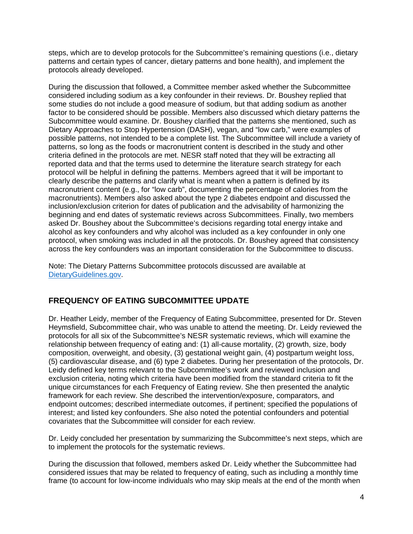steps, which are to develop protocols for the Subcommittee's remaining questions (i.e., dietary patterns and certain types of cancer, dietary patterns and bone health), and implement the protocols already developed.

During the discussion that followed, a Committee member asked whether the Subcommittee considered including sodium as a key confounder in their reviews. Dr. Boushey replied that some studies do not include a good measure of sodium, but that adding sodium as another factor to be considered should be possible. Members also discussed which dietary patterns the Subcommittee would examine. Dr. Boushey clarified that the patterns she mentioned, such as Dietary Approaches to Stop Hypertension (DASH), vegan, and "low carb," were examples of possible patterns, not intended to be a complete list. The Subcommittee will include a variety of patterns, so long as the foods or macronutrient content is described in the study and other criteria defined in the protocols are met. NESR staff noted that they will be extracting all reported data and that the terms used to determine the literature search strategy for each protocol will be helpful in defining the patterns. Members agreed that it will be important to clearly describe the patterns and clarify what is meant when a pattern is defined by its macronutrient content (e.g., for "low carb", documenting the percentage of calories from the macronutrients). Members also asked about the type 2 diabetes endpoint and discussed the inclusion/exclusion criterion for dates of publication and the advisability of harmonizing the beginning and end dates of systematic reviews across Subcommittees. Finally, two members asked Dr. Boushey about the Subcommittee's decisions regarding total energy intake and alcohol as key confounders and why alcohol was included as a key confounder in only one protocol, when smoking was included in all the protocols. Dr. Boushey agreed that consistency across the key confounders was an important consideration for the Subcommittee to discuss.

Note: The Dietary Patterns Subcommittee protocols discussed are available at [DietaryGuidelines.gov.](https://gcc02.safelinks.protection.outlook.com/?url=https%3A%2F%2Fwww.dietaryguidelines.gov%2F&data=02%7C01%7C%7C4ef81843053e41ede96c08d71c0fb492%7Ced5b36e701ee4ebc867ee03cfa0d4697%7C0%7C0%7C637008726085710622&sdata=T%2BjhM11f1zUUz%2FCifwmbsgq7HDQFMQZ07pWMyiMcpdo%3D&reserved=0)

# **FREQUENCY OF EATING SUBCOMMITTEE UPDATE**

Dr. Heather Leidy, member of the Frequency of Eating Subcommittee, presented for Dr. Steven Heymsfield, Subcommittee chair, who was unable to attend the meeting. Dr. Leidy reviewed the protocols for all six of the Subcommittee's NESR systematic reviews, which will examine the relationship between frequency of eating and: (1) all-cause mortality, (2) growth, size, body composition, overweight, and obesity, (3) gestational weight gain, (4) postpartum weight loss, (5) cardiovascular disease, and (6) type 2 diabetes. During her presentation of the protocols, Dr. Leidy defined key terms relevant to the Subcommittee's work and reviewed inclusion and exclusion criteria, noting which criteria have been modified from the standard criteria to fit the unique circumstances for each Frequency of Eating review. She then presented the analytic framework for each review. She described the intervention/exposure, comparators, and endpoint outcomes; described intermediate outcomes, if pertinent; specified the populations of interest; and listed key confounders. She also noted the potential confounders and potential covariates that the Subcommittee will consider for each review.

Dr. Leidy concluded her presentation by summarizing the Subcommittee's next steps, which are to implement the protocols for the systematic reviews.

During the discussion that followed, members asked Dr. Leidy whether the Subcommittee had considered issues that may be related to frequency of eating, such as including a monthly time frame (to account for low-income individuals who may skip meals at the end of the month when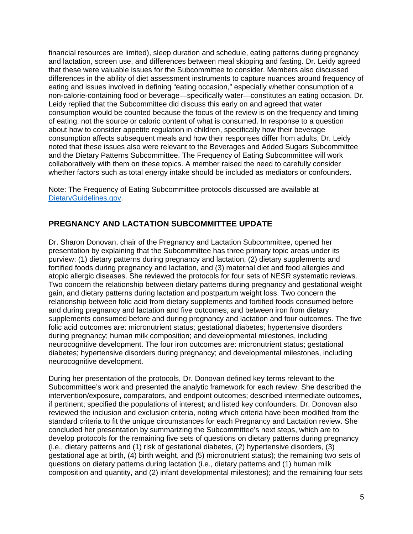financial resources are limited), sleep duration and schedule, eating patterns during pregnancy and lactation, screen use, and differences between meal skipping and fasting. Dr. Leidy agreed that these were valuable issues for the Subcommittee to consider. Members also discussed differences in the ability of diet assessment instruments to capture nuances around frequency of eating and issues involved in defining "eating occasion," especially whether consumption of a non-calorie-containing food or beverage—specifically water—constitutes an eating occasion. Dr. Leidy replied that the Subcommittee did discuss this early on and agreed that water consumption would be counted because the focus of the review is on the frequency and timing of eating, not the source or caloric content of what is consumed. In response to a question about how to consider appetite regulation in children, specifically how their beverage consumption affects subsequent meals and how their responses differ from adults, Dr. Leidy noted that these issues also were relevant to the Beverages and Added Sugars Subcommittee and the Dietary Patterns Subcommittee. The Frequency of Eating Subcommittee will work collaboratively with them on these topics. A member raised the need to carefully consider whether factors such as total energy intake should be included as mediators or confounders.

Note: The Frequency of Eating Subcommittee protocols discussed are available at [DietaryGuidelines.gov.](https://gcc02.safelinks.protection.outlook.com/?url=https%3A%2F%2Fwww.dietaryguidelines.gov%2F&data=02%7C01%7C%7C4ef81843053e41ede96c08d71c0fb492%7Ced5b36e701ee4ebc867ee03cfa0d4697%7C0%7C0%7C637008726085710622&sdata=T%2BjhM11f1zUUz%2FCifwmbsgq7HDQFMQZ07pWMyiMcpdo%3D&reserved=0)

# **PREGNANCY AND LACTATION SUBCOMMITTEE UPDATE**

Dr. Sharon Donovan, chair of the Pregnancy and Lactation Subcommittee, opened her presentation by explaining that the Subcommittee has three primary topic areas under its purview: (1) dietary patterns during pregnancy and lactation, (2) dietary supplements and fortified foods during pregnancy and lactation, and (3) maternal diet and food allergies and atopic allergic diseases. She reviewed the protocols for four sets of NESR systematic reviews. Two concern the relationship between dietary patterns during pregnancy and gestational weight gain, and dietary patterns during lactation and postpartum weight loss. Two concern the relationship between folic acid from dietary supplements and fortified foods consumed before and during pregnancy and lactation and five outcomes, and between iron from dietary supplements consumed before and during pregnancy and lactation and four outcomes. The five folic acid outcomes are: micronutrient status; gestational diabetes; hypertensive disorders during pregnancy; human milk composition; and developmental milestones, including neurocognitive development. The four iron outcomes are: micronutrient status; gestational diabetes; hypertensive disorders during pregnancy; and developmental milestones, including neurocognitive development.

During her presentation of the protocols, Dr. Donovan defined key terms relevant to the Subcommittee's work and presented the analytic framework for each review. She described the intervention/exposure, comparators, and endpoint outcomes; described intermediate outcomes, if pertinent; specified the populations of interest; and listed key confounders. Dr. Donovan also reviewed the inclusion and exclusion criteria, noting which criteria have been modified from the standard criteria to fit the unique circumstances for each Pregnancy and Lactation review. She concluded her presentation by summarizing the Subcommittee's next steps, which are to develop protocols for the remaining five sets of questions on dietary patterns during pregnancy (i.e., dietary patterns and (1) risk of gestational diabetes, (2) hypertensive disorders, (3) gestational age at birth, (4) birth weight, and (5) micronutrient status); the remaining two sets of questions on dietary patterns during lactation (i.e., dietary patterns and (1) human milk composition and quantity, and (2) infant developmental milestones); and the remaining four sets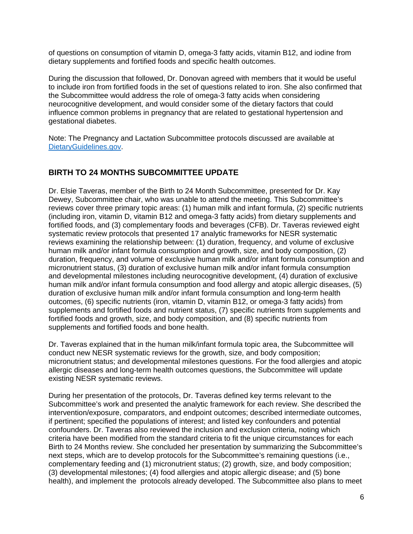of questions on consumption of vitamin D, omega-3 fatty acids, vitamin B12, and iodine from dietary supplements and fortified foods and specific health outcomes.

During the discussion that followed, Dr. Donovan agreed with members that it would be useful to include iron from fortified foods in the set of questions related to iron. She also confirmed that the Subcommittee would address the role of omega-3 fatty acids when considering neurocognitive development, and would consider some of the dietary factors that could influence common problems in pregnancy that are related to gestational hypertension and gestational diabetes.

Note: The Pregnancy and Lactation Subcommittee protocols discussed are available at [DietaryGuidelines.gov.](https://gcc02.safelinks.protection.outlook.com/?url=https%3A%2F%2Fwww.dietaryguidelines.gov%2F&data=02%7C01%7C%7C4ef81843053e41ede96c08d71c0fb492%7Ced5b36e701ee4ebc867ee03cfa0d4697%7C0%7C0%7C637008726085710622&sdata=T%2BjhM11f1zUUz%2FCifwmbsgq7HDQFMQZ07pWMyiMcpdo%3D&reserved=0)

## **BIRTH TO 24 MONTHS SUBCOMMITTEE UPDATE**

Dr. Elsie Taveras, member of the Birth to 24 Month Subcommittee, presented for Dr. Kay Dewey, Subcommittee chair, who was unable to attend the meeting. This Subcommittee's reviews cover three primary topic areas: (1) human milk and infant formula, (2) specific nutrients (including iron, vitamin D, vitamin B12 and omega-3 fatty acids) from dietary supplements and fortified foods, and (3) complementary foods and beverages (CFB). Dr. Taveras reviewed eight systematic review protocols that presented 17 analytic frameworks for NESR systematic reviews examining the relationship between: (1) duration, frequency, and volume of exclusive human milk and/or infant formula consumption and growth, size, and body composition, (2) duration, frequency, and volume of exclusive human milk and/or infant formula consumption and micronutrient status, (3) duration of exclusive human milk and/or infant formula consumption and developmental milestones including neurocognitive development, (4) duration of exclusive human milk and/or infant formula consumption and food allergy and atopic allergic diseases, (5) duration of exclusive human milk and/or infant formula consumption and long-term health outcomes, (6) specific nutrients (iron, vitamin D, vitamin B12, or omega-3 fatty acids) from supplements and fortified foods and nutrient status, (7) specific nutrients from supplements and fortified foods and growth, size, and body composition, and (8) specific nutrients from supplements and fortified foods and bone health.

Dr. Taveras explained that in the human milk/infant formula topic area, the Subcommittee will conduct new NESR systematic reviews for the growth, size, and body composition; micronutrient status; and developmental milestones questions. For the food allergies and atopic allergic diseases and long-term health outcomes questions, the Subcommittee will update existing NESR systematic reviews.

During her presentation of the protocols, Dr. Taveras defined key terms relevant to the Subcommittee's work and presented the analytic framework for each review. She described the intervention/exposure, comparators, and endpoint outcomes; described intermediate outcomes, if pertinent; specified the populations of interest; and listed key confounders and potential confounders. Dr. Taveras also reviewed the inclusion and exclusion criteria, noting which criteria have been modified from the standard criteria to fit the unique circumstances for each Birth to 24 Months review. She concluded her presentation by summarizing the Subcommittee's next steps, which are to develop protocols for the Subcommittee's remaining questions (i.e., complementary feeding and (1) micronutrient status; (2) growth, size, and body composition; (3) developmental milestones; (4) food allergies and atopic allergic disease; and (5) bone health), and implement the protocols already developed. The Subcommittee also plans to meet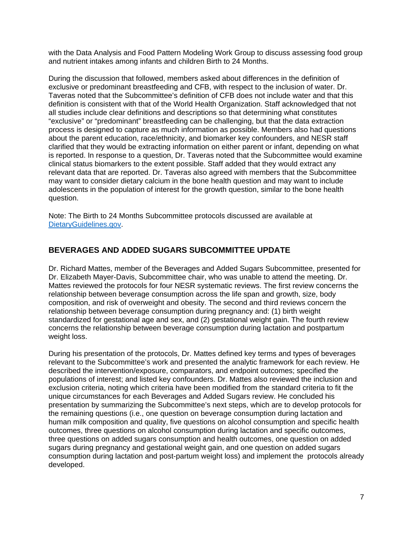with the Data Analysis and Food Pattern Modeling Work Group to discuss assessing food group and nutrient intakes among infants and children Birth to 24 Months.

During the discussion that followed, members asked about differences in the definition of exclusive or predominant breastfeeding and CFB, with respect to the inclusion of water. Dr. Taveras noted that the Subcommittee's definition of CFB does not include water and that this definition is consistent with that of the World Health Organization. Staff acknowledged that not all studies include clear definitions and descriptions so that determining what constitutes "exclusive" or "predominant" breastfeeding can be challenging, but that the data extraction process is designed to capture as much information as possible. Members also had questions about the parent education, race/ethnicity, and biomarker key confounders, and NESR staff clarified that they would be extracting information on either parent or infant, depending on what is reported. In response to a question, Dr. Taveras noted that the Subcommittee would examine clinical status biomarkers to the extent possible. Staff added that they would extract any relevant data that are reported. Dr. Taveras also agreed with members that the Subcommittee may want to consider dietary calcium in the bone health question and may want to include adolescents in the population of interest for the growth question, similar to the bone health question.

Note: The Birth to 24 Months Subcommittee protocols discussed are available at [DietaryGuidelines.gov.](https://gcc02.safelinks.protection.outlook.com/?url=https%3A%2F%2Fwww.dietaryguidelines.gov%2F&data=02%7C01%7C%7C4ef81843053e41ede96c08d71c0fb492%7Ced5b36e701ee4ebc867ee03cfa0d4697%7C0%7C0%7C637008726085710622&sdata=T%2BjhM11f1zUUz%2FCifwmbsgq7HDQFMQZ07pWMyiMcpdo%3D&reserved=0)

## **BEVERAGES AND ADDED SUGARS SUBCOMMITTEE UPDATE**

Dr. Richard Mattes, member of the Beverages and Added Sugars Subcommittee, presented for Dr. Elizabeth Mayer-Davis, Subcommittee chair, who was unable to attend the meeting. Dr. Mattes reviewed the protocols for four NESR systematic reviews. The first review concerns the relationship between beverage consumption across the life span and growth, size, body composition, and risk of overweight and obesity. The second and third reviews concern the relationship between beverage consumption during pregnancy and: (1) birth weight standardized for gestational age and sex, and (2) gestational weight gain. The fourth review concerns the relationship between beverage consumption during lactation and postpartum weight loss.

During his presentation of the protocols, Dr. Mattes defined key terms and types of beverages relevant to the Subcommittee's work and presented the analytic framework for each review. He described the intervention/exposure, comparators, and endpoint outcomes; specified the populations of interest; and listed key confounders. Dr. Mattes also reviewed the inclusion and exclusion criteria, noting which criteria have been modified from the standard criteria to fit the unique circumstances for each Beverages and Added Sugars review. He concluded his presentation by summarizing the Subcommittee's next steps, which are to develop protocols for the remaining questions (i.e., one question on beverage consumption during lactation and human milk composition and quality, five questions on alcohol consumption and specific health outcomes, three questions on alcohol consumption during lactation and specific outcomes, three questions on added sugars consumption and health outcomes, one question on added sugars during pregnancy and gestational weight gain, and one question on added sugars consumption during lactation and post-partum weight loss) and implement the protocols already developed.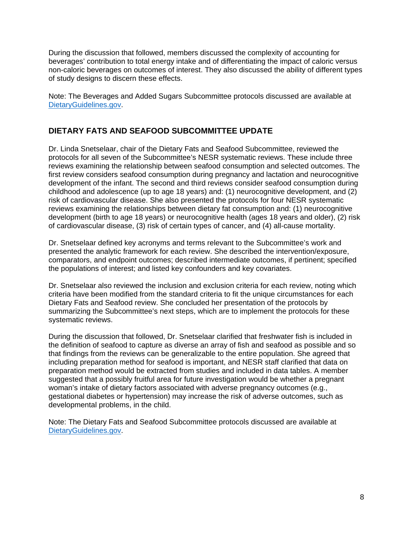During the discussion that followed, members discussed the complexity of accounting for beverages' contribution to total energy intake and of differentiating the impact of caloric versus non-caloric beverages on outcomes of interest. They also discussed the ability of different types of study designs to discern these effects.

Note: The Beverages and Added Sugars Subcommittee protocols discussed are available at [DietaryGuidelines.gov.](https://gcc02.safelinks.protection.outlook.com/?url=https%3A%2F%2Fwww.dietaryguidelines.gov%2F&data=02%7C01%7C%7C4ef81843053e41ede96c08d71c0fb492%7Ced5b36e701ee4ebc867ee03cfa0d4697%7C0%7C0%7C637008726085710622&sdata=T%2BjhM11f1zUUz%2FCifwmbsgq7HDQFMQZ07pWMyiMcpdo%3D&reserved=0)

# **DIETARY FATS AND SEAFOOD SUBCOMMITTEE UPDATE**

Dr. Linda Snetselaar, chair of the Dietary Fats and Seafood Subcommittee, reviewed the protocols for all seven of the Subcommittee's NESR systematic reviews. These include three reviews examining the relationship between seafood consumption and selected outcomes. The first review considers seafood consumption during pregnancy and lactation and neurocognitive development of the infant. The second and third reviews consider seafood consumption during childhood and adolescence (up to age 18 years) and: (1) neurocognitive development, and (2) risk of cardiovascular disease. She also presented the protocols for four NESR systematic reviews examining the relationships between dietary fat consumption and: (1) neurocognitive development (birth to age 18 years) or neurocognitive health (ages 18 years and older), (2) risk of cardiovascular disease, (3) risk of certain types of cancer, and (4) all-cause mortality.

Dr. Snetselaar defined key acronyms and terms relevant to the Subcommittee's work and presented the analytic framework for each review. She described the intervention/exposure, comparators, and endpoint outcomes; described intermediate outcomes, if pertinent; specified the populations of interest; and listed key confounders and key covariates.

Dr. Snetselaar also reviewed the inclusion and exclusion criteria for each review, noting which criteria have been modified from the standard criteria to fit the unique circumstances for each Dietary Fats and Seafood review. She concluded her presentation of the protocols by summarizing the Subcommittee's next steps, which are to implement the protocols for these systematic reviews.

During the discussion that followed, Dr. Snetselaar clarified that freshwater fish is included in the definition of seafood to capture as diverse an array of fish and seafood as possible and so that findings from the reviews can be generalizable to the entire population. She agreed that including preparation method for seafood is important, and NESR staff clarified that data on preparation method would be extracted from studies and included in data tables. A member suggested that a possibly fruitful area for future investigation would be whether a pregnant woman's intake of dietary factors associated with adverse pregnancy outcomes (e.g., gestational diabetes or hypertension) may increase the risk of adverse outcomes, such as developmental problems, in the child.

Note: The Dietary Fats and Seafood Subcommittee protocols discussed are available at [DietaryGuidelines.gov.](https://gcc02.safelinks.protection.outlook.com/?url=https%3A%2F%2Fwww.dietaryguidelines.gov%2F&data=02%7C01%7C%7C4ef81843053e41ede96c08d71c0fb492%7Ced5b36e701ee4ebc867ee03cfa0d4697%7C0%7C0%7C637008726085710622&sdata=T%2BjhM11f1zUUz%2FCifwmbsgq7HDQFMQZ07pWMyiMcpdo%3D&reserved=0)